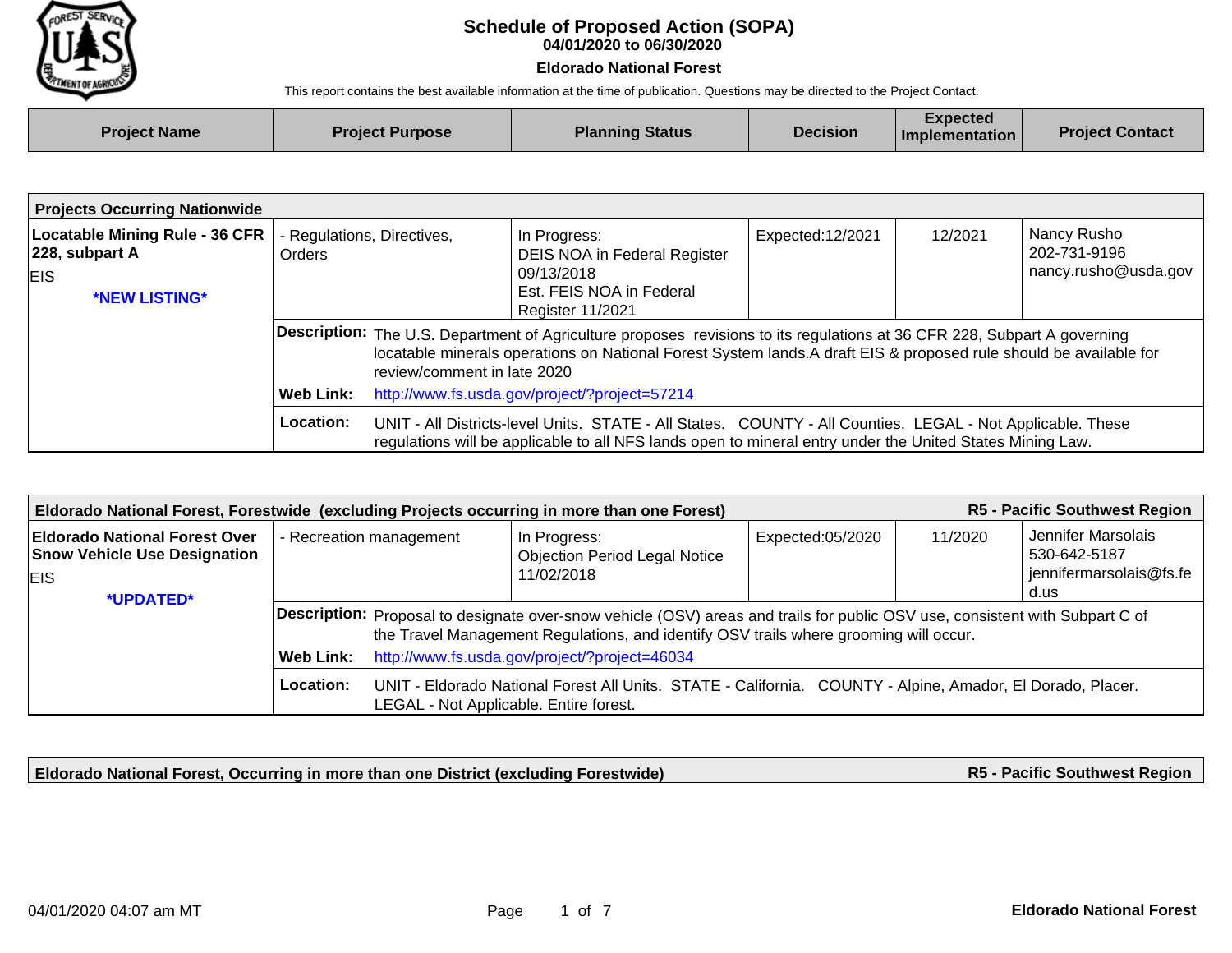

## **04/01/2020 to 06/30/2020 Schedule of Proposed Action (SOPA)**

## **Eldorado National Forest**

This report contains the best available information at the time of publication. Questions may be directed to the Project Contact.

| <b>Project Name</b> | <b>Project Purpose</b> | <b>Planning Status</b> | <b>Decision</b> | Expected<br>Implementation | <b>Project Contact</b> |
|---------------------|------------------------|------------------------|-----------------|----------------------------|------------------------|
|                     |                        |                        |                 |                            |                        |

| <b>Projects Occurring Nationwide</b>                                                |                                             |                                                                                                                                                                                                                                                                                                                                      |                                                                                                                                                                                                                         |                   |         |                                                     |
|-------------------------------------------------------------------------------------|---------------------------------------------|--------------------------------------------------------------------------------------------------------------------------------------------------------------------------------------------------------------------------------------------------------------------------------------------------------------------------------------|-------------------------------------------------------------------------------------------------------------------------------------------------------------------------------------------------------------------------|-------------------|---------|-----------------------------------------------------|
| <b>Locatable Mining Rule - 36 CFR</b><br>$ 228,$ subpart A<br>EIS.<br>*NEW LISTING* | - Regulations, Directives,<br><b>Orders</b> |                                                                                                                                                                                                                                                                                                                                      | In Progress:<br>DEIS NOA in Federal Register<br>09/13/2018<br>Est. FEIS NOA in Federal<br><b>Register 11/2021</b>                                                                                                       | Expected: 12/2021 | 12/2021 | Nancy Rusho<br>202-731-9196<br>nancy.rusho@usda.gov |
|                                                                                     | Web Link:                                   | <b>Description:</b> The U.S. Department of Agriculture proposes revisions to its regulations at 36 CFR 228, Subpart A governing<br>locatable minerals operations on National Forest System lands.A draft EIS & proposed rule should be available for<br>review/comment in late 2020<br>http://www.fs.usda.gov/project/?project=57214 |                                                                                                                                                                                                                         |                   |         |                                                     |
|                                                                                     | Location:                                   |                                                                                                                                                                                                                                                                                                                                      | UNIT - All Districts-level Units. STATE - All States. COUNTY - All Counties. LEGAL - Not Applicable. These<br>regulations will be applicable to all NFS lands open to mineral entry under the United States Mining Law. |                   |         |                                                     |

| <b>R5 - Pacific Southwest Region</b><br>Eldorado National Forest, Forestwide (excluding Projects occurring in more than one Forest) |                  |                                                                                                                                                                                                                                                                        |                                                                                                            |                  |                                                                                  |  |  |
|-------------------------------------------------------------------------------------------------------------------------------------|------------------|------------------------------------------------------------------------------------------------------------------------------------------------------------------------------------------------------------------------------------------------------------------------|------------------------------------------------------------------------------------------------------------|------------------|----------------------------------------------------------------------------------|--|--|
| <b>Eldorado National Forest Over</b><br><b>Snow Vehicle Use Designation</b><br>EIS.<br>*UPDATED*                                    |                  | - Recreation management                                                                                                                                                                                                                                                | In Progress:<br><b>Objection Period Legal Notice</b><br>11/02/2018                                         | Expected:05/2020 | Jennifer Marsolais<br>11/2020<br>530-642-5187<br>jennifermarsolais@fs.fe<br>d.us |  |  |
|                                                                                                                                     | <b>Web Link:</b> | Description: Proposal to designate over-snow vehicle (OSV) areas and trails for public OSV use, consistent with Subpart C of<br>the Travel Management Regulations, and identify OSV trails where grooming will occur.<br>http://www.fs.usda.gov/project/?project=46034 |                                                                                                            |                  |                                                                                  |  |  |
|                                                                                                                                     | Location:        | LEGAL - Not Applicable. Entire forest.                                                                                                                                                                                                                                 | UNIT - Eldorado National Forest All Units. STATE - California. COUNTY - Alpine, Amador, El Dorado, Placer. |                  |                                                                                  |  |  |

**Eldorado National Forest, Occurring in more than one District (excluding Forestwide)**

**R5 - Pacific Southwest Region**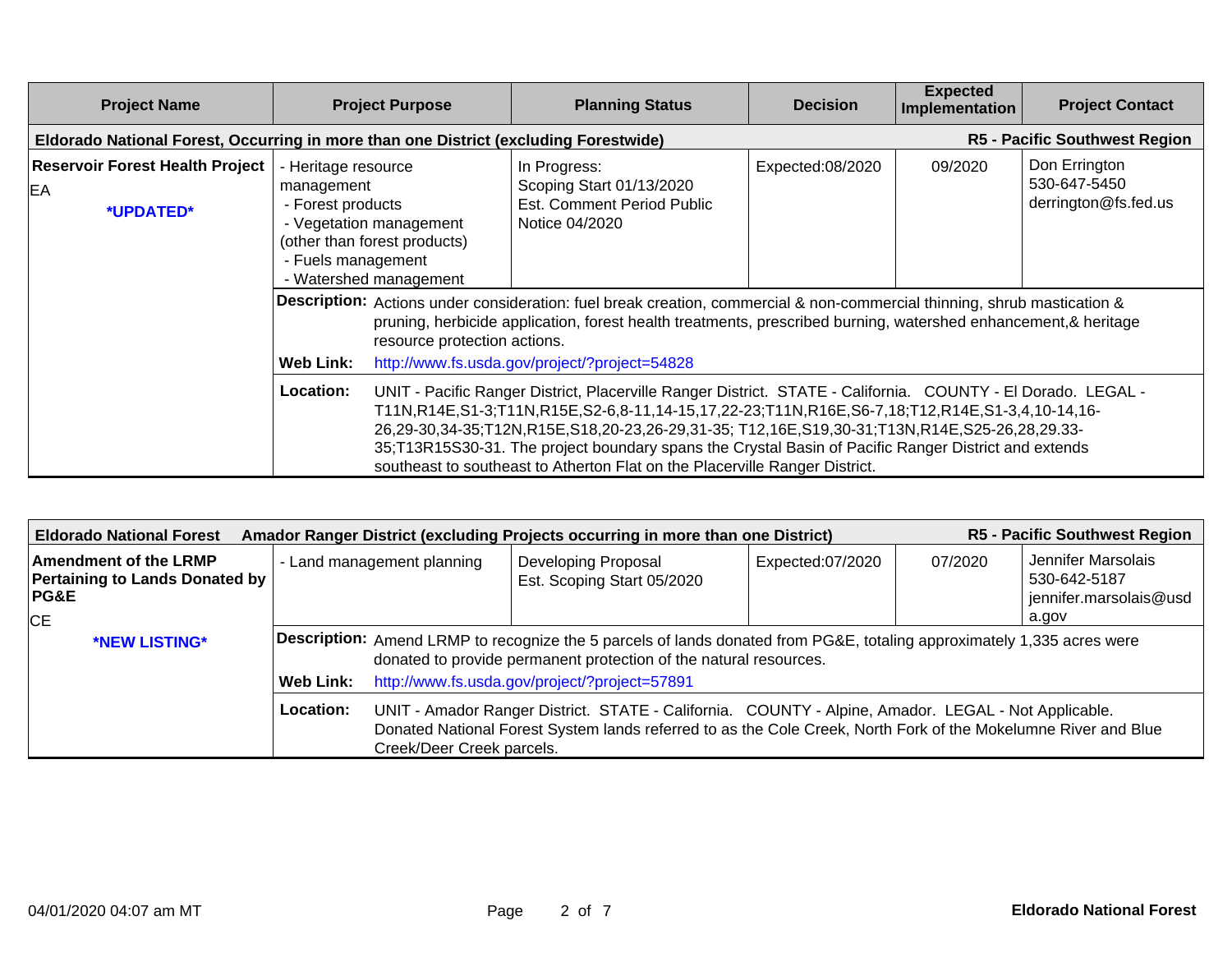| <b>Project Name</b>                                                                  | <b>Project Purpose</b>                                                       |                                                                                                                                                                                                                                                                                                                                                                                                                                                                                                      | <b>Planning Status</b>                                                                   | <b>Decision</b>  | <b>Expected</b><br>Implementation | <b>Project Contact</b>                                |  |
|--------------------------------------------------------------------------------------|------------------------------------------------------------------------------|------------------------------------------------------------------------------------------------------------------------------------------------------------------------------------------------------------------------------------------------------------------------------------------------------------------------------------------------------------------------------------------------------------------------------------------------------------------------------------------------------|------------------------------------------------------------------------------------------|------------------|-----------------------------------|-------------------------------------------------------|--|
| Eldorado National Forest, Occurring in more than one District (excluding Forestwide) |                                                                              | <b>R5 - Pacific Southwest Region</b>                                                                                                                                                                                                                                                                                                                                                                                                                                                                 |                                                                                          |                  |                                   |                                                       |  |
| <b>Reservoir Forest Health Project</b><br>EA<br>*UPDATED*                            | - Heritage resource<br>management<br>- Forest products<br>- Fuels management | - Vegetation management<br>(other than forest products)<br>- Watershed management                                                                                                                                                                                                                                                                                                                                                                                                                    | In Progress:<br>Scoping Start 01/13/2020<br>Est. Comment Period Public<br>Notice 04/2020 | Expected:08/2020 | 09/2020                           | Don Errington<br>530-647-5450<br>derrington@fs.fed.us |  |
|                                                                                      | <b>Web Link:</b>                                                             | Description: Actions under consideration: fuel break creation, commercial & non-commercial thinning, shrub mastication &<br>pruning, herbicide application, forest health treatments, prescribed burning, watershed enhancement, & heritage<br>resource protection actions.<br>http://www.fs.usda.gov/project/?project=54828                                                                                                                                                                         |                                                                                          |                  |                                   |                                                       |  |
|                                                                                      | Location:                                                                    | UNIT - Pacific Ranger District, Placerville Ranger District. STATE - California. COUNTY - El Dorado. LEGAL -<br>T11N,R14E,S1-3;T11N,R15E,S2-6,8-11,14-15,17,22-23;T11N,R16E,S6-7,18;T12,R14E,S1-3,4,10-14,16-<br>26,29-30,34-35;T12N,R15E,S18,20-23,26-29,31-35; T12,16E,S19,30-31;T13N,R14E,S25-26,28,29.33-<br>35;T13R15S30-31. The project boundary spans the Crystal Basin of Pacific Ranger District and extends<br>southeast to southeast to Atherton Flat on the Placerville Ranger District. |                                                                                          |                  |                                   |                                                       |  |

| <b>R5 - Pacific Southwest Region</b><br>Amador Ranger District (excluding Projects occurring in more than one District)<br><b>Eldorado National Forest</b> |                            |                                                                                                                                                                                                                                                    |                                                          |                  |                                                                                  |  |  |
|------------------------------------------------------------------------------------------------------------------------------------------------------------|----------------------------|----------------------------------------------------------------------------------------------------------------------------------------------------------------------------------------------------------------------------------------------------|----------------------------------------------------------|------------------|----------------------------------------------------------------------------------|--|--|
| Amendment of the LRMP<br>Pertaining to Lands Donated by<br>PG&E<br>CE                                                                                      | - Land management planning |                                                                                                                                                                                                                                                    | <b>Developing Proposal</b><br>Est. Scoping Start 05/2020 | Expected:07/2020 | Jennifer Marsolais<br>07/2020<br>530-642-5187<br>jennifer.marsolais@usd<br>a.gov |  |  |
| *NEW LISTING*                                                                                                                                              |                            | Description: Amend LRMP to recognize the 5 parcels of lands donated from PG&E, totaling approximately 1,335 acres were<br>donated to provide permanent protection of the natural resources.                                                        |                                                          |                  |                                                                                  |  |  |
|                                                                                                                                                            | Web Link:                  |                                                                                                                                                                                                                                                    | http://www.fs.usda.gov/project/?project=57891            |                  |                                                                                  |  |  |
|                                                                                                                                                            | Location:                  | UNIT - Amador Ranger District. STATE - California. COUNTY - Alpine, Amador. LEGAL - Not Applicable.<br>Donated National Forest System lands referred to as the Cole Creek, North Fork of the Mokelumne River and Blue<br>Creek/Deer Creek parcels. |                                                          |                  |                                                                                  |  |  |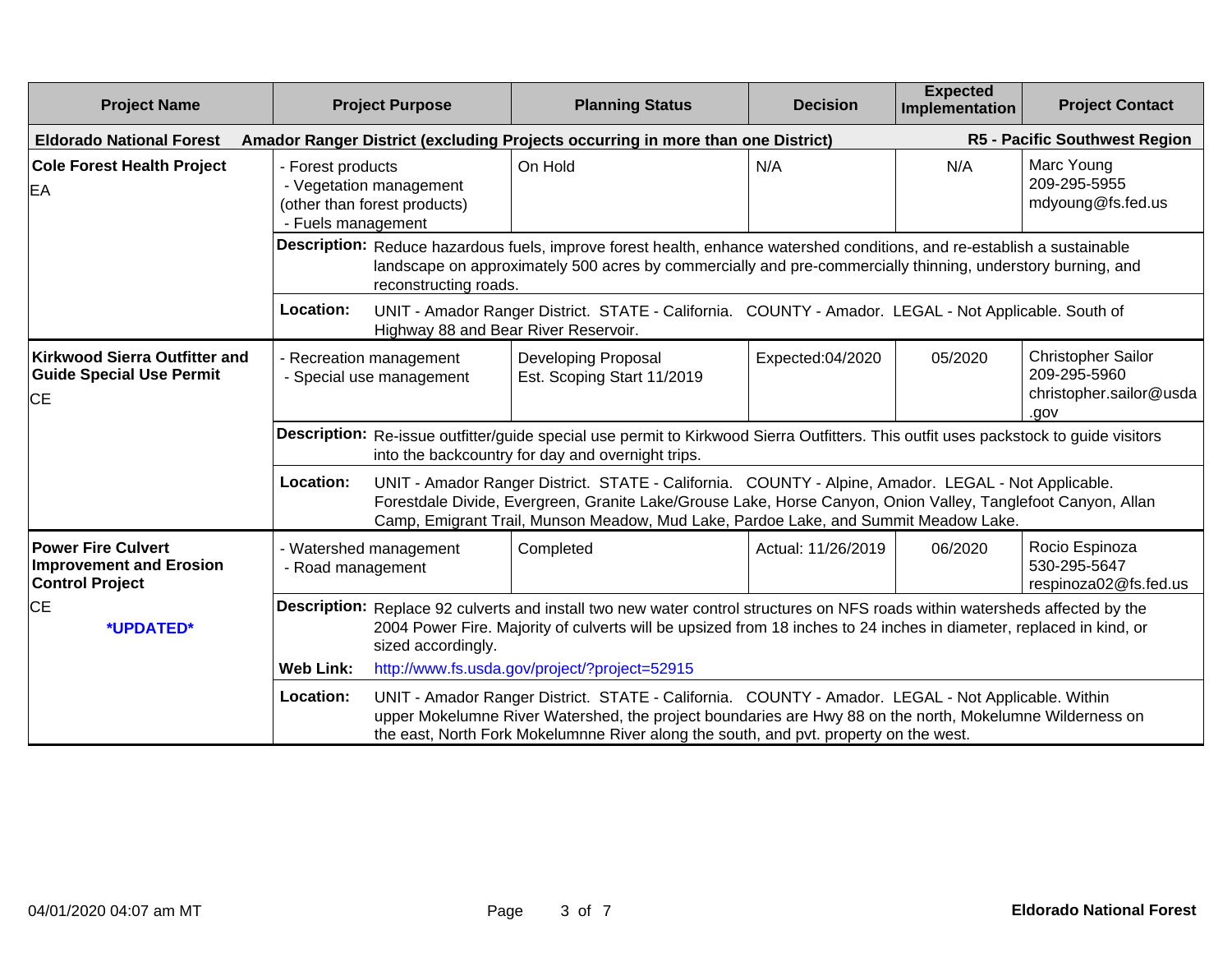| <b>Project Name</b>                                                                   |                                             | <b>Project Purpose</b>                                                                                                                                                                                                                                                                                                                                   | <b>Planning Status</b>                                                                                                                                                                                                                                                                                     | <b>Decision</b>    | <b>Expected</b><br>Implementation | <b>Project Contact</b>                                                       |
|---------------------------------------------------------------------------------------|---------------------------------------------|----------------------------------------------------------------------------------------------------------------------------------------------------------------------------------------------------------------------------------------------------------------------------------------------------------------------------------------------------------|------------------------------------------------------------------------------------------------------------------------------------------------------------------------------------------------------------------------------------------------------------------------------------------------------------|--------------------|-----------------------------------|------------------------------------------------------------------------------|
| <b>Eldorado National Forest</b>                                                       |                                             |                                                                                                                                                                                                                                                                                                                                                          | Amador Ranger District (excluding Projects occurring in more than one District)                                                                                                                                                                                                                            |                    |                                   | R5 - Pacific Southwest Region                                                |
| <b>Cole Forest Health Project</b><br>EA                                               | - Forest products<br>- Fuels management     | - Vegetation management<br>(other than forest products)                                                                                                                                                                                                                                                                                                  | On Hold                                                                                                                                                                                                                                                                                                    | N/A                | N/A                               | Marc Young<br>209-295-5955<br>mdyoung@fs.fed.us                              |
|                                                                                       |                                             | reconstructing roads.                                                                                                                                                                                                                                                                                                                                    | Description: Reduce hazardous fuels, improve forest health, enhance watershed conditions, and re-establish a sustainable<br>landscape on approximately 500 acres by commercially and pre-commercially thinning, understory burning, and                                                                    |                    |                                   |                                                                              |
|                                                                                       | Location:                                   | Highway 88 and Bear River Reservoir.                                                                                                                                                                                                                                                                                                                     | UNIT - Amador Ranger District. STATE - California. COUNTY - Amador. LEGAL - Not Applicable. South of                                                                                                                                                                                                       |                    |                                   |                                                                              |
| <b>Kirkwood Sierra Outfitter and</b><br><b>Guide Special Use Permit</b><br>CE         |                                             | - Recreation management<br>- Special use management                                                                                                                                                                                                                                                                                                      | <b>Developing Proposal</b><br>Est. Scoping Start 11/2019                                                                                                                                                                                                                                                   | Expected:04/2020   | 05/2020                           | <b>Christopher Sailor</b><br>209-295-5960<br>christopher.sailor@usda<br>.gov |
|                                                                                       |                                             |                                                                                                                                                                                                                                                                                                                                                          | Description: Re-issue outfitter/guide special use permit to Kirkwood Sierra Outfitters. This outfit uses packstock to guide visitors<br>into the backcountry for day and overnight trips.                                                                                                                  |                    |                                   |                                                                              |
|                                                                                       | Location:                                   |                                                                                                                                                                                                                                                                                                                                                          | UNIT - Amador Ranger District. STATE - California. COUNTY - Alpine, Amador. LEGAL - Not Applicable.<br>Forestdale Divide, Evergreen, Granite Lake/Grouse Lake, Horse Canyon, Onion Valley, Tanglefoot Canyon, Allan<br>Camp, Emigrant Trail, Munson Meadow, Mud Lake, Pardoe Lake, and Summit Meadow Lake. |                    |                                   |                                                                              |
| <b>Power Fire Culvert</b><br><b>Improvement and Erosion</b><br><b>Control Project</b> | - Watershed management<br>- Road management |                                                                                                                                                                                                                                                                                                                                                          | Completed                                                                                                                                                                                                                                                                                                  | Actual: 11/26/2019 | 06/2020                           | Rocio Espinoza<br>530-295-5647<br>respinoza02@fs.fed.us                      |
| <b>CE</b><br>*UPDATED*                                                                |                                             | Description: Replace 92 culverts and install two new water control structures on NFS roads within watersheds affected by the<br>2004 Power Fire. Majority of culverts will be upsized from 18 inches to 24 inches in diameter, replaced in kind, or<br>sized accordingly.                                                                                |                                                                                                                                                                                                                                                                                                            |                    |                                   |                                                                              |
|                                                                                       | <b>Web Link:</b>                            |                                                                                                                                                                                                                                                                                                                                                          |                                                                                                                                                                                                                                                                                                            |                    |                                   |                                                                              |
|                                                                                       | Location:                                   | http://www.fs.usda.gov/project/?project=52915<br>UNIT - Amador Ranger District. STATE - California. COUNTY - Amador. LEGAL - Not Applicable. Within<br>upper Mokelumne River Watershed, the project boundaries are Hwy 88 on the north, Mokelumne Wilderness on<br>the east, North Fork Mokelumnne River along the south, and pvt. property on the west. |                                                                                                                                                                                                                                                                                                            |                    |                                   |                                                                              |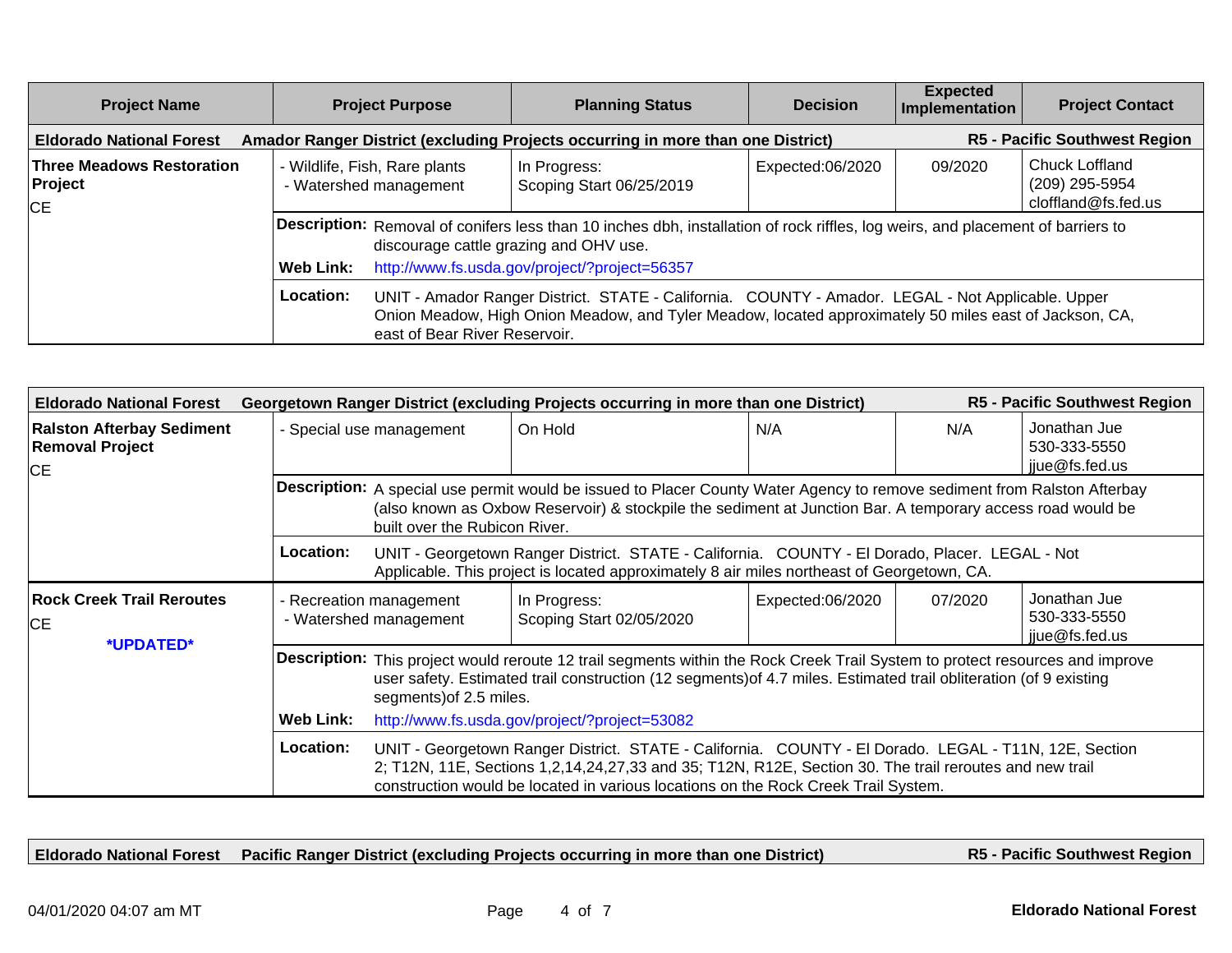| <b>Project Name</b>                                      | <b>Project Purpose</b>                                  | <b>Planning Status</b>                                                                                                                                                                                                                       | <b>Decision</b>  | <b>Expected</b><br>Implementation | <b>Project Contact</b>                                  |  |  |
|----------------------------------------------------------|---------------------------------------------------------|----------------------------------------------------------------------------------------------------------------------------------------------------------------------------------------------------------------------------------------------|------------------|-----------------------------------|---------------------------------------------------------|--|--|
| <b>Eldorado National Forest</b>                          |                                                         | Amador Ranger District (excluding Projects occurring in more than one District)                                                                                                                                                              |                  |                                   | <b>R5 - Pacific Southwest Region</b>                    |  |  |
| <b>Three Meadows Restoration</b><br>Project<br><b>CE</b> | - Wildlife, Fish, Rare plants<br>- Watershed management | In Progress:<br>Scoping Start 06/25/2019                                                                                                                                                                                                     | Expected:06/2020 | 09/2020                           | Chuck Loffland<br>(209) 295-5954<br>cloffland@fs.fed.us |  |  |
|                                                          |                                                         | Description: Removal of conifers less than 10 inches dbh, installation of rock riffles, log weirs, and placement of barriers to<br>discourage cattle grazing and OHV use.                                                                    |                  |                                   |                                                         |  |  |
|                                                          | Web Link:                                               | http://www.fs.usda.gov/project/?project=56357                                                                                                                                                                                                |                  |                                   |                                                         |  |  |
|                                                          | Location:                                               | UNIT - Amador Ranger District. STATE - California. COUNTY - Amador. LEGAL - Not Applicable. Upper<br>Onion Meadow, High Onion Meadow, and Tyler Meadow, located approximately 50 miles east of Jackson, CA,<br>east of Bear River Reservoir. |                  |                                   |                                                         |  |  |

| <b>R5 - Pacific Southwest Region</b><br><b>Eldorado National Forest</b><br>Georgetown Ranger District (excluding Projects occurring in more than one District) |                                                                                                                                                                                                                                                                                            |                                                                                                                                                                                                                                                                                                                                                                                                                                                                                      |                  |         |                                                |  |  |  |
|----------------------------------------------------------------------------------------------------------------------------------------------------------------|--------------------------------------------------------------------------------------------------------------------------------------------------------------------------------------------------------------------------------------------------------------------------------------------|--------------------------------------------------------------------------------------------------------------------------------------------------------------------------------------------------------------------------------------------------------------------------------------------------------------------------------------------------------------------------------------------------------------------------------------------------------------------------------------|------------------|---------|------------------------------------------------|--|--|--|
| <b>Ralston Afterbay Sediment</b><br><b>Removal Project</b><br><b>CE</b>                                                                                        | - Special use management                                                                                                                                                                                                                                                                   | On Hold                                                                                                                                                                                                                                                                                                                                                                                                                                                                              | N/A              | N/A     | Jonathan Jue<br>530-333-5550<br>jjue@fs.fed.us |  |  |  |
|                                                                                                                                                                |                                                                                                                                                                                                                                                                                            | Description: A special use permit would be issued to Placer County Water Agency to remove sediment from Ralston Afterbay<br>(also known as Oxbow Reservoir) & stockpile the sediment at Junction Bar. A temporary access road would be<br>built over the Rubicon River.<br>UNIT - Georgetown Ranger District. STATE - California. COUNTY - El Dorado, Placer. LEGAL - Not<br>Location:<br>Applicable. This project is located approximately 8 air miles northeast of Georgetown, CA. |                  |         |                                                |  |  |  |
|                                                                                                                                                                |                                                                                                                                                                                                                                                                                            |                                                                                                                                                                                                                                                                                                                                                                                                                                                                                      |                  |         |                                                |  |  |  |
| <b>Rock Creek Trail Reroutes</b><br><b>CE</b>                                                                                                                  | - Recreation management<br>- Watershed management                                                                                                                                                                                                                                          | In Progress:<br>Scoping Start 02/05/2020                                                                                                                                                                                                                                                                                                                                                                                                                                             | Expected:06/2020 | 07/2020 | Jonathan Jue<br>530-333-5550<br>jjue@fs.fed.us |  |  |  |
|                                                                                                                                                                | *UPDATED*<br>Description: This project would reroute 12 trail segments within the Rock Creek Trail System to protect resources and improve<br>user safety. Estimated trail construction (12 segments) of 4.7 miles. Estimated trail obliteration (of 9 existing<br>segments) of 2.5 miles. |                                                                                                                                                                                                                                                                                                                                                                                                                                                                                      |                  |         |                                                |  |  |  |
|                                                                                                                                                                | <b>Web Link:</b>                                                                                                                                                                                                                                                                           | http://www.fs.usda.gov/project/?project=53082                                                                                                                                                                                                                                                                                                                                                                                                                                        |                  |         |                                                |  |  |  |
|                                                                                                                                                                | <b>Location:</b>                                                                                                                                                                                                                                                                           | UNIT - Georgetown Ranger District. STATE - California. COUNTY - El Dorado. LEGAL - T11N, 12E, Section<br>2; T12N, 11E, Sections 1,2,14,24,27,33 and 35; T12N, R12E, Section 30. The trail reroutes and new trail<br>construction would be located in various locations on the Rock Creek Trail System.                                                                                                                                                                               |                  |         |                                                |  |  |  |

**Eldorado National Forest Pacific Ranger District (excluding Projects occurring in more than one District)**

**R5 - Pacific Southwest Region**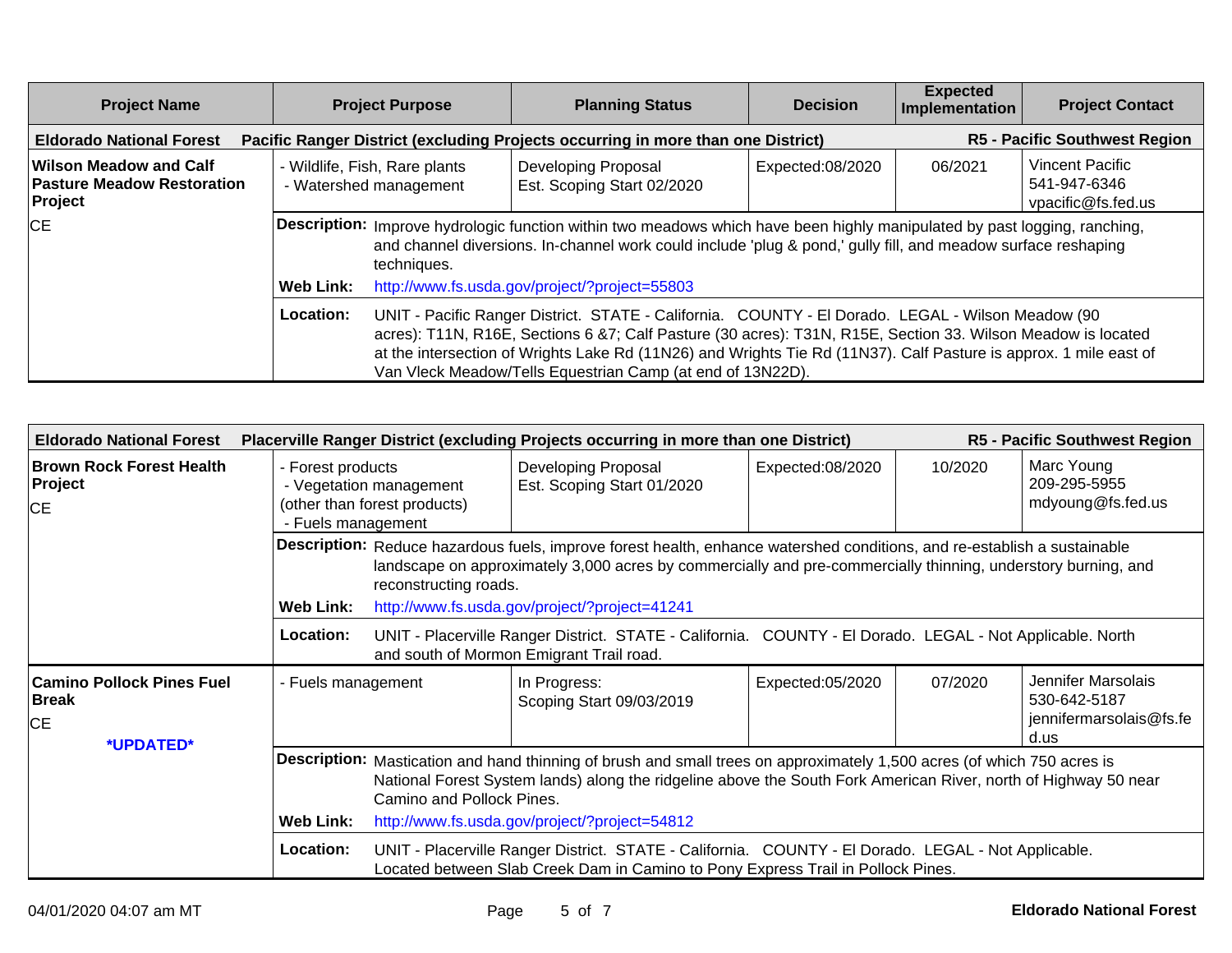| <b>Project Name</b>                                                                                                                                         |           | <b>Project Purpose</b>                                                                                                                                                                                                                                    | <b>Planning Status</b>                                                                                                                                                                                                                                                                                                                                                                               | <b>Decision</b>  | <b>Expected</b><br>Implementation | <b>Project Contact</b>                                |  |
|-------------------------------------------------------------------------------------------------------------------------------------------------------------|-----------|-----------------------------------------------------------------------------------------------------------------------------------------------------------------------------------------------------------------------------------------------------------|------------------------------------------------------------------------------------------------------------------------------------------------------------------------------------------------------------------------------------------------------------------------------------------------------------------------------------------------------------------------------------------------------|------------------|-----------------------------------|-------------------------------------------------------|--|
| <b>R5 - Pacific Southwest Region</b><br>Pacific Ranger District (excluding Projects occurring in more than one District)<br><b>Eldorado National Forest</b> |           |                                                                                                                                                                                                                                                           |                                                                                                                                                                                                                                                                                                                                                                                                      |                  |                                   |                                                       |  |
| Wilson Meadow and Calf<br><b>Pasture Meadow Restoration</b><br>Project                                                                                      |           | - Wildlife, Fish, Rare plants<br>- Watershed management                                                                                                                                                                                                   | Developing Proposal<br>Est. Scoping Start 02/2020                                                                                                                                                                                                                                                                                                                                                    | Expected:08/2020 | 06/2021                           | Vincent Pacific<br>541-947-6346<br>vpacific@fs.fed.us |  |
| CE                                                                                                                                                          |           | Description: Improve hydrologic function within two meadows which have been highly manipulated by past logging, ranching,<br>and channel diversions. In-channel work could include 'plug & pond,' gully fill, and meadow surface reshaping<br>techniques. |                                                                                                                                                                                                                                                                                                                                                                                                      |                  |                                   |                                                       |  |
|                                                                                                                                                             | Web Link: |                                                                                                                                                                                                                                                           | http://www.fs.usda.gov/project/?project=55803                                                                                                                                                                                                                                                                                                                                                        |                  |                                   |                                                       |  |
|                                                                                                                                                             | Location: |                                                                                                                                                                                                                                                           | UNIT - Pacific Ranger District. STATE - California. COUNTY - El Dorado. LEGAL - Wilson Meadow (90<br>acres): T11N, R16E, Sections 6 &7; Calf Pasture (30 acres): T31N, R15E, Section 33. Wilson Meadow is located<br>at the intersection of Wrights Lake Rd (11N26) and Wrights Tie Rd (11N37). Calf Pasture is approx. 1 mile east of<br>Van Vleck Meadow/Tells Equestrian Camp (at end of 13N22D). |                  |                                   |                                                       |  |

| <b>Eldorado National Forest</b>                                     |                                                                                                    | <b>R5 - Pacific Southwest Region</b><br>Placerville Ranger District (excluding Projects occurring in more than one District)                                                                                                                                            |                                                                                                                                                                                         |                  |         |                                                                       |  |
|---------------------------------------------------------------------|----------------------------------------------------------------------------------------------------|-------------------------------------------------------------------------------------------------------------------------------------------------------------------------------------------------------------------------------------------------------------------------|-----------------------------------------------------------------------------------------------------------------------------------------------------------------------------------------|------------------|---------|-----------------------------------------------------------------------|--|
| <b>Brown Rock Forest Health</b><br>Project<br>CE                    | - Forest products<br>- Vegetation management<br>(other than forest products)<br>- Fuels management |                                                                                                                                                                                                                                                                         | Developing Proposal<br>Est. Scoping Start 01/2020                                                                                                                                       | Expected:08/2020 | 10/2020 | Marc Young<br>209-295-5955<br>mdyoung@fs.fed.us                       |  |
|                                                                     |                                                                                                    | Description: Reduce hazardous fuels, improve forest health, enhance watershed conditions, and re-establish a sustainable<br>landscape on approximately 3,000 acres by commercially and pre-commercially thinning, understory burning, and<br>reconstructing roads.      |                                                                                                                                                                                         |                  |         |                                                                       |  |
|                                                                     | <b>Web Link:</b>                                                                                   |                                                                                                                                                                                                                                                                         | http://www.fs.usda.gov/project/?project=41241                                                                                                                                           |                  |         |                                                                       |  |
|                                                                     | Location:                                                                                          |                                                                                                                                                                                                                                                                         | UNIT - Placerville Ranger District. STATE - California. COUNTY - El Dorado. LEGAL - Not Applicable. North<br>and south of Mormon Emigrant Trail road.                                   |                  |         |                                                                       |  |
| <b>Camino Pollock Pines Fuel</b><br><b>Break</b><br>CE<br>*UPDATED* | - Fuels management                                                                                 |                                                                                                                                                                                                                                                                         | In Progress:<br>Scoping Start 09/03/2019                                                                                                                                                | Expected:05/2020 | 07/2020 | Jennifer Marsolais<br>530-642-5187<br>jennifermarsolais@fs.fe<br>d.us |  |
|                                                                     |                                                                                                    | Description: Mastication and hand thinning of brush and small trees on approximately 1,500 acres (of which 750 acres is<br>National Forest System lands) along the ridgeline above the South Fork American River, north of Highway 50 near<br>Camino and Pollock Pines. |                                                                                                                                                                                         |                  |         |                                                                       |  |
|                                                                     | Web Link:                                                                                          |                                                                                                                                                                                                                                                                         | http://www.fs.usda.gov/project/?project=54812                                                                                                                                           |                  |         |                                                                       |  |
|                                                                     | Location:                                                                                          |                                                                                                                                                                                                                                                                         | UNIT - Placerville Ranger District. STATE - California. COUNTY - El Dorado. LEGAL - Not Applicable.<br>Located between Slab Creek Dam in Camino to Pony Express Trail in Pollock Pines. |                  |         |                                                                       |  |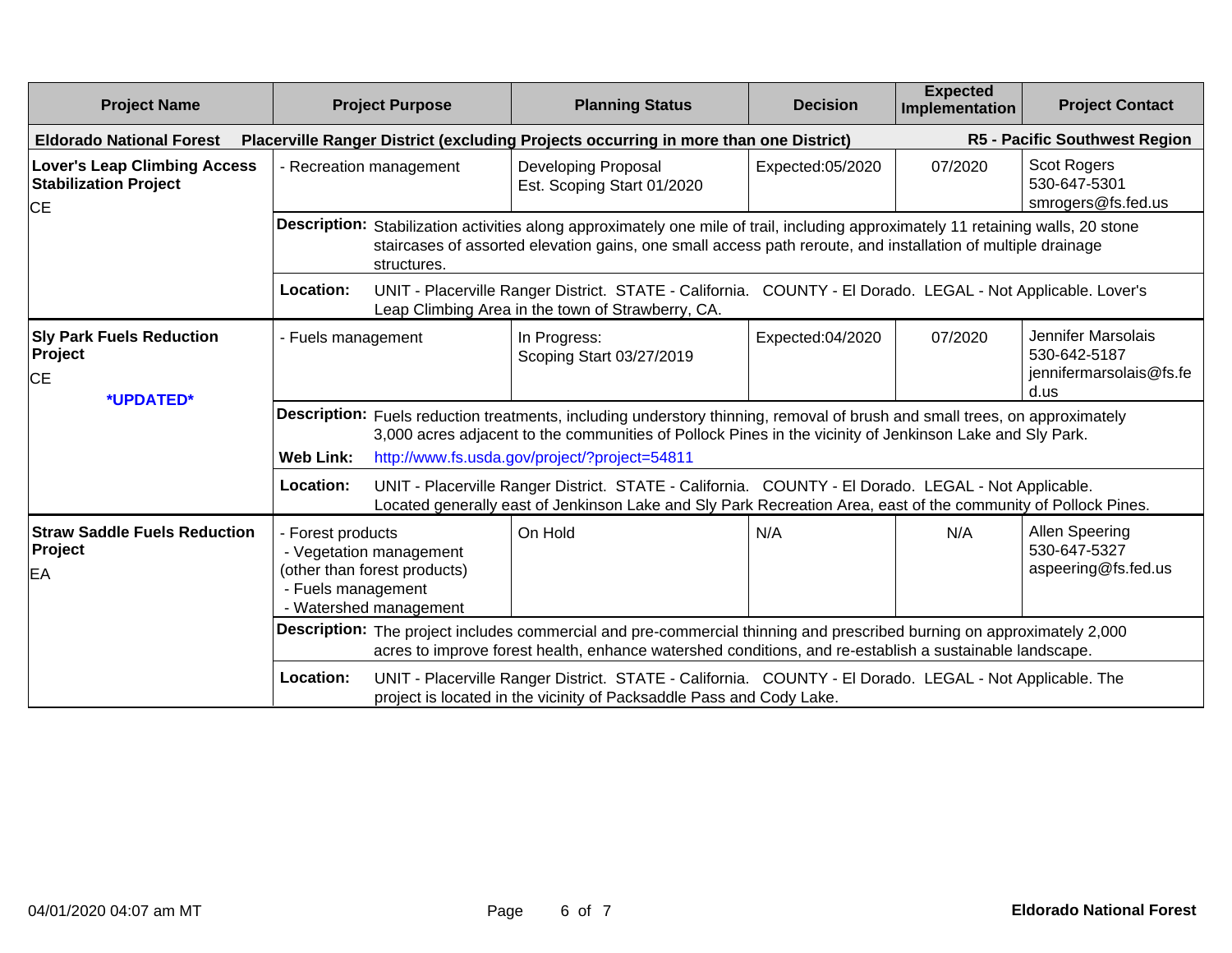| <b>Project Name</b>                                                              | <b>Project Purpose</b>                                                                                                                                                                                                                                                                                      |                                                                                                                                                                                                                                   | <b>Planning Status</b>                                                                                                                                                                                                                            | <b>Decision</b>  | <b>Expected</b><br>Implementation | <b>Project Contact</b>                                                |  |
|----------------------------------------------------------------------------------|-------------------------------------------------------------------------------------------------------------------------------------------------------------------------------------------------------------------------------------------------------------------------------------------------------------|-----------------------------------------------------------------------------------------------------------------------------------------------------------------------------------------------------------------------------------|---------------------------------------------------------------------------------------------------------------------------------------------------------------------------------------------------------------------------------------------------|------------------|-----------------------------------|-----------------------------------------------------------------------|--|
| <b>Eldorado National Forest</b>                                                  |                                                                                                                                                                                                                                                                                                             |                                                                                                                                                                                                                                   | Placerville Ranger District (excluding Projects occurring in more than one District)                                                                                                                                                              |                  |                                   | R5 - Pacific Southwest Region                                         |  |
| <b>Lover's Leap Climbing Access</b><br><b>Stabilization Project</b><br><b>CE</b> |                                                                                                                                                                                                                                                                                                             | - Recreation management                                                                                                                                                                                                           | Developing Proposal<br>Est. Scoping Start 01/2020                                                                                                                                                                                                 | Expected:05/2020 | 07/2020                           | Scot Rogers<br>530-647-5301<br>smrogers@fs.fed.us                     |  |
|                                                                                  |                                                                                                                                                                                                                                                                                                             | structures.                                                                                                                                                                                                                       | Description: Stabilization activities along approximately one mile of trail, including approximately 11 retaining walls, 20 stone<br>staircases of assorted elevation gains, one small access path reroute, and installation of multiple drainage |                  |                                   |                                                                       |  |
|                                                                                  | Location:                                                                                                                                                                                                                                                                                                   |                                                                                                                                                                                                                                   | UNIT - Placerville Ranger District. STATE - California. COUNTY - El Dorado. LEGAL - Not Applicable. Lover's<br>Leap Climbing Area in the town of Strawberry, CA.                                                                                  |                  |                                   |                                                                       |  |
| <b>Sly Park Fuels Reduction</b><br>Project<br><b>CE</b><br>*UPDATED*             | - Fuels management                                                                                                                                                                                                                                                                                          |                                                                                                                                                                                                                                   | In Progress:<br>Scoping Start 03/27/2019                                                                                                                                                                                                          | Expected:04/2020 | 07/2020                           | Jennifer Marsolais<br>530-642-5187<br>jennifermarsolais@fs.fe<br>d.us |  |
|                                                                                  | Description: Fuels reduction treatments, including understory thinning, removal of brush and small trees, on approximately<br>3,000 acres adjacent to the communities of Pollock Pines in the vicinity of Jenkinson Lake and Sly Park.<br><b>Web Link:</b><br>http://www.fs.usda.gov/project/?project=54811 |                                                                                                                                                                                                                                   |                                                                                                                                                                                                                                                   |                  |                                   |                                                                       |  |
|                                                                                  | Location:                                                                                                                                                                                                                                                                                                   |                                                                                                                                                                                                                                   | UNIT - Placerville Ranger District. STATE - California. COUNTY - El Dorado. LEGAL - Not Applicable.<br>Located generally east of Jenkinson Lake and Sly Park Recreation Area, east of the community of Pollock Pines.                             |                  |                                   |                                                                       |  |
| <b>Straw Saddle Fuels Reduction</b><br>Project<br>EA                             | - Forest products<br>- Fuels management                                                                                                                                                                                                                                                                     | - Vegetation management<br>(other than forest products)<br>- Watershed management                                                                                                                                                 | On Hold                                                                                                                                                                                                                                           | N/A              | N/A                               | Allen Speering<br>530-647-5327<br>aspeering@fs.fed.us                 |  |
|                                                                                  |                                                                                                                                                                                                                                                                                                             | Description: The project includes commercial and pre-commercial thinning and prescribed burning on approximately 2,000<br>acres to improve forest health, enhance watershed conditions, and re-establish a sustainable landscape. |                                                                                                                                                                                                                                                   |                  |                                   |                                                                       |  |
|                                                                                  | Location:                                                                                                                                                                                                                                                                                                   |                                                                                                                                                                                                                                   | UNIT - Placerville Ranger District. STATE - California. COUNTY - El Dorado. LEGAL - Not Applicable. The<br>project is located in the vicinity of Packsaddle Pass and Cody Lake.                                                                   |                  |                                   |                                                                       |  |